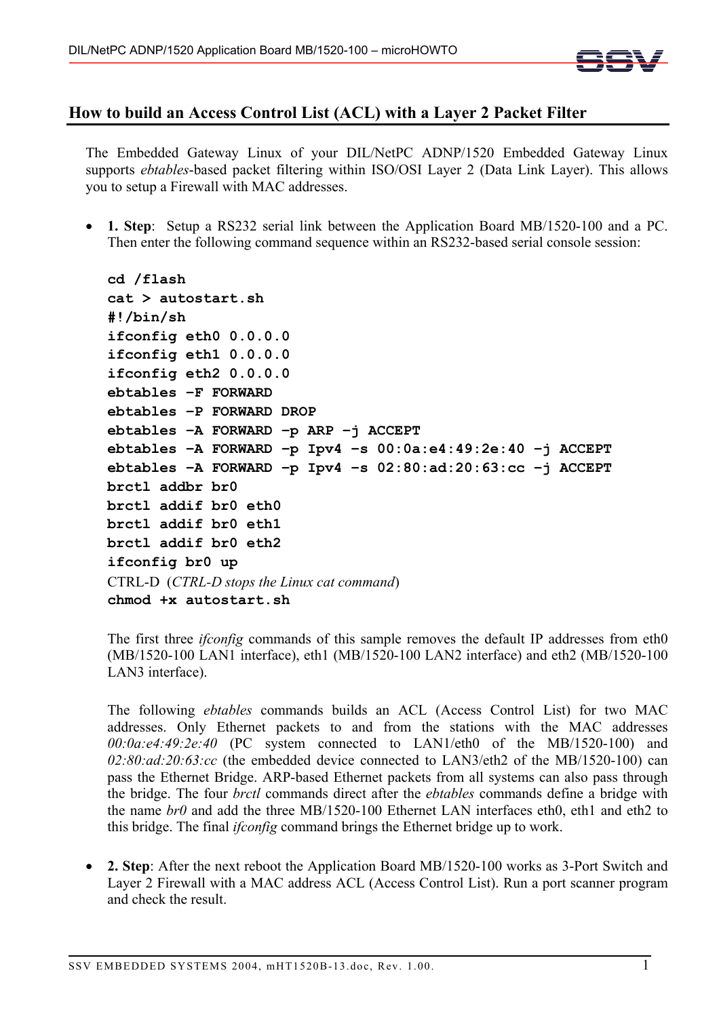

## **How to build an Access Control List (ACL) with a Layer 2 Packet Filter**

The Embedded Gateway Linux of your DIL/NetPC ADNP/1520 Embedded Gateway Linux supports *ebtables*-based packet filtering within ISO/OSI Layer 2 (Data Link Layer). This allows you to setup a Firewall with MAC addresses.

• **1. Step**: Setup a RS232 serial link between the Application Board MB/1520-100 and a PC. Then enter the following command sequence within an RS232-based serial console session:

```
cd /flash 
cat > autostart.sh 
#!/bin/sh 
ifconfig eth0 0.0.0.0 
ifconfig eth1 0.0.0.0 
ifconfig eth2 0.0.0.0 
ebtables –F FORWARD 
ebtables –P FORWARD DROP 
ebtables –A FORWARD –p ARP –j ACCEPT 
ebtables –A FORWARD –p Ipv4 –s 00:0a:e4:49:2e:40 –j ACCEPT 
ebtables –A FORWARD –p Ipv4 –s 02:80:ad:20:63:cc –j ACCEPT 
brctl addbr br0 
brctl addif br0 eth0 
brctl addif br0 eth1 
brctl addif br0 eth2 
ifconfig br0 up 
CTRL-D (CTRL-D stops the Linux cat command) 
chmod +x autostart.sh
```
The first three *ifconfig* commands of this sample removes the default IP addresses from eth0 (MB/1520-100 LAN1 interface), eth1 (MB/1520-100 LAN2 interface) and eth2 (MB/1520-100 LAN3 interface).

The following *ebtables* commands builds an ACL (Access Control List) for two MAC addresses. Only Ethernet packets to and from the stations with the MAC addresses *00:0a:e4:49:2e:40* (PC system connected to LAN1/eth0 of the MB/1520-100) and *02:80:ad:20:63:cc* (the embedded device connected to LAN3/eth2 of the MB/1520-100) can pass the Ethernet Bridge. ARP-based Ethernet packets from all systems can also pass through the bridge. The four *brctl* commands direct after the *ebtables* commands define a bridge with the name *br0* and add the three MB/1520-100 Ethernet LAN interfaces eth0, eth1 and eth2 to this bridge. The final *ifconfig* command brings the Ethernet bridge up to work.

• **2. Step**: After the next reboot the Application Board MB/1520-100 works as 3-Port Switch and Layer 2 Firewall with a MAC address ACL (Access Control List). Run a port scanner program and check the result.